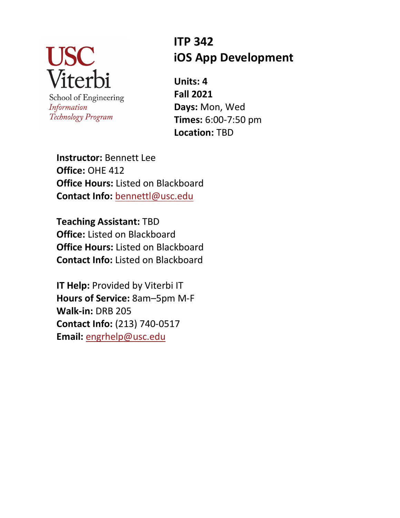

Information Technology Program

# **ITP 342 iOS App Development**

**Units: 4 Fall 2021 Days:** Mon, Wed **Times:** 6:00-7:50 pm **Location:** TBD

**Instructor:** Bennett Lee **Office:** OHE 412 **Office Hours:** Listed on Blackboard **Contact Info:** bennettl@usc.edu

**Teaching Assistant:** TBD **Office:** Listed on Blackboard **Office Hours:** Listed on Blackboard **Contact Info:** Listed on Blackboard

**IT Help:** Provided by Viterbi IT **Hours of Service:** 8am–5pm M-F **Walk-in:** DRB 205 **Contact Info:** (213) 740-0517 **Email:** engrhelp@usc.edu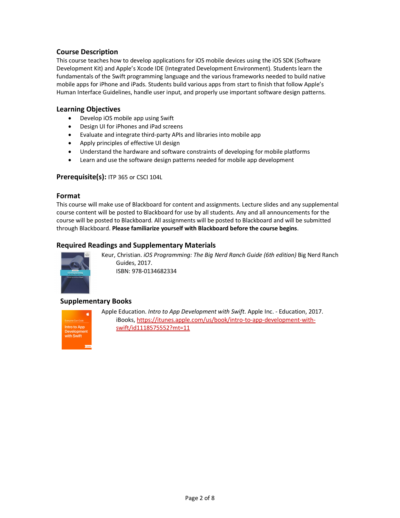## **Course Description**

This course teaches how to develop applications for iOS mobile devices using the iOS SDK (Software Development Kit) and Apple's Xcode IDE (Integrated Development Environment). Students learn the fundamentals of the Swift programming language and the various frameworks needed to build native mobile apps for iPhone and iPads. Students build various apps from start to finish that follow Apple's Human Interface Guidelines, handle user input, and properly use important software design patterns.

#### **Learning Objectives**

- Develop iOS mobile app using Swift
- Design UI for iPhones and iPad screens
- Evaluate and integrate third-party APIs and libraries into mobile app
- Apply principles of effective UI design
- Understand the hardware and software constraints of developing for mobile platforms
- Learn and use the software design patterns needed for mobile app development

## **Prerequisite(s):** ITP 365 or CSCI 104L

#### **Format**

This course will make use of Blackboard for content and assignments. Lecture slides and any supplemental course content will be posted to Blackboard for use by all students. Any and all announcements for the course will be posted to Blackboard. All assignments will be posted to Blackboard and will be submitted through Blackboard. **Please familiarize yourself with Blackboard before the course begins**.

## **Required Readings and Supplementary Materials**



Keur, Christian. *iOS Programming: The Big Nerd Ranch Guide (6th edition)* Big Nerd Ranch Guides, 2017. ISBN: 978-0134682334

## **Supplementary Books**



Apple Education. *Intro to App Development with Swift*. Apple Inc. - Education, 2017. iBooks, https://itunes.apple.com/us/book/intro-to-app-development-withswift/id1118575552?mt=11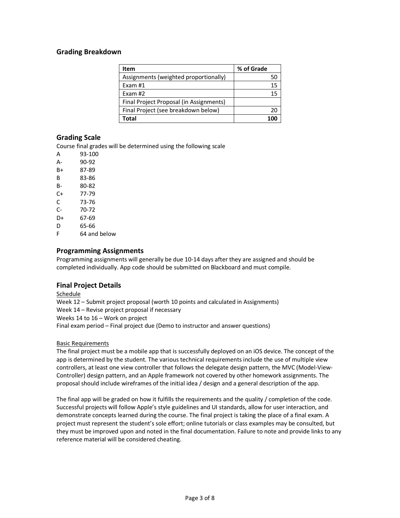## **Grading Breakdown**

| Item                                    | % of Grade |
|-----------------------------------------|------------|
| Assignments (weighted proportionally)   |            |
| Exam #1                                 |            |
| Exam $#2$                               |            |
| Final Project Proposal (in Assignments) |            |
| Final Project (see breakdown below)     |            |
| Total                                   |            |

## **Grading Scale**

Course final grades will be determined using the following scale

| А  | 93-100       |
|----|--------------|
| А- | 90-92        |
| B+ | 87-89        |
| B  | 83-86        |
| B- | 80-82        |
| C+ | 77-79        |
| С  | 73-76        |
| C- | 70-72        |
| D+ | 67-69        |
| D  | 65-66        |
| F  | 64 and below |

## **Programming Assignments**

Programming assignments will generally be due 10-14 days after they are assigned and should be completed individually. App code should be submitted on Blackboard and must compile.

## **Final Project Details**

Schedule Week 12 – Submit project proposal (worth 10 points and calculated in Assignments) Week 14 – Revise project proposal if necessary Weeks 14 to 16 – Work on project Final exam period – Final project due (Demo to instructor and answer questions)

#### Basic Requirements

The final project must be a mobile app that is successfully deployed on an iOS device. The concept of the app is determined by the student. The various technical requirements include the use of multiple view controllers, at least one view controller that follows the delegate design pattern, the MVC (Model-View-Controller) design pattern, and an Apple framework not covered by other homework assignments. The proposal should include wireframes of the initial idea / design and a general description of the app.

The final app will be graded on how it fulfills the requirements and the quality / completion of the code. Successful projects will follow Apple's style guidelines and UI standards, allow for user interaction, and demonstrate concepts learned during the course. The final project is taking the place of a final exam. A project must represent the student's sole effort; online tutorials or class examples may be consulted, but they must be improved upon and noted in the final documentation. Failure to note and provide links to any reference material will be considered cheating.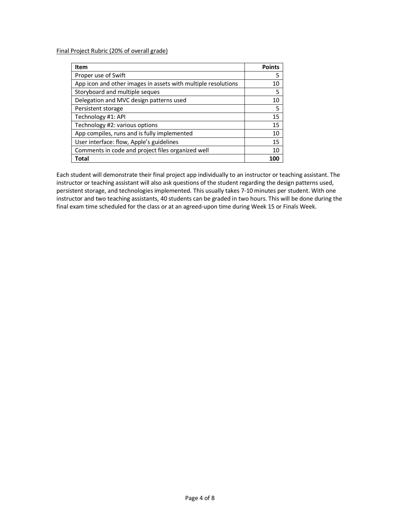Final Project Rubric (20% of overall grade)

| Item                                                          | <b>Points</b> |
|---------------------------------------------------------------|---------------|
| Proper use of Swift                                           | 5             |
| App icon and other images in assets with multiple resolutions | 10            |
| Storyboard and multiple seques                                | 5             |
| Delegation and MVC design patterns used                       | 10            |
| Persistent storage                                            | 5             |
| Technology #1: API                                            | 15            |
| Technology #2: various options                                | 15            |
| App compiles, runs and is fully implemented                   | 10            |
| User interface: flow, Apple's guidelines                      | 15            |
| Comments in code and project files organized well             | 10            |
| Total                                                         | ากเ           |

Each student will demonstrate their final project app individually to an instructor or teaching assistant. The instructor or teaching assistant will also ask questions of the student regarding the design patterns used, persistent storage, and technologies implemented. This usually takes 7-10 minutes per student. With one instructor and two teaching assistants, 40 students can be graded in two hours. This will be done during the final exam time scheduled for the class or at an agreed-upon time during Week 15 or Finals Week.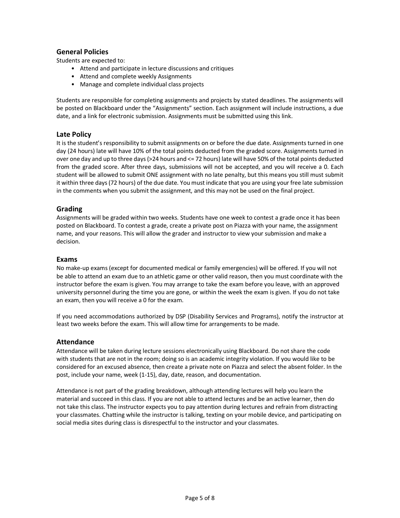## **General Policies**

Students are expected to:

- Attend and participate in lecture discussions and critiques
- Attend and complete weekly Assignments
- Manage and complete individual class projects

Students are responsible for completing assignments and projects by stated deadlines. The assignments will be posted on Blackboard under the "Assignments" section. Each assignment will include instructions, a due date, and a link for electronic submission. Assignments must be submitted using this link.

#### **Late Policy**

It is the student's responsibility to submit assignments on or before the due date. Assignments turned in one day (24 hours) late will have 10% of the total points deducted from the graded score. Assignments turned in over one day and up to three days (>24 hours and <= 72 hours) late will have 50% of the total points deducted from the graded score. After three days, submissions will not be accepted, and you will receive a 0. Each student will be allowed to submit ONE assignment with no late penalty, but this means you still must submit it within three days (72 hours) of the due date. You must indicate that you are using your free late submission in the comments when you submit the assignment, and this may not be used on the final project.

#### **Grading**

Assignments will be graded within two weeks. Students have one week to contest a grade once it has been posted on Blackboard. To contest a grade, create a private post on Piazza with your name, the assignment name, and your reasons. This will allow the grader and instructor to view your submission and make a decision.

#### **Exams**

No make-up exams (except for documented medical or family emergencies) will be offered. If you will not be able to attend an exam due to an athletic game or other valid reason, then you must coordinate with the instructor before the exam is given. You may arrange to take the exam before you leave, with an approved university personnel during the time you are gone, or within the week the exam is given. If you do not take an exam, then you will receive a 0 for the exam.

If you need accommodations authorized by DSP (Disability Services and Programs), notify the instructor at least two weeks before the exam. This will allow time for arrangements to be made.

#### **Attendance**

Attendance will be taken during lecture sessions electronically using Blackboard. Do not share the code with students that are not in the room; doing so is an academic integrity violation. If you would like to be considered for an excused absence, then create a private note on Piazza and select the absent folder. In the post, include your name, week (1-15), day, date, reason, and documentation.

Attendance is not part of the grading breakdown, although attending lectures will help you learn the material and succeed in this class. If you are not able to attend lectures and be an active learner, then do not take this class. The instructor expects you to pay attention during lectures and refrain from distracting your classmates. Chatting while the instructor is talking, texting on your mobile device, and participating on social media sites during class is disrespectful to the instructor and your classmates.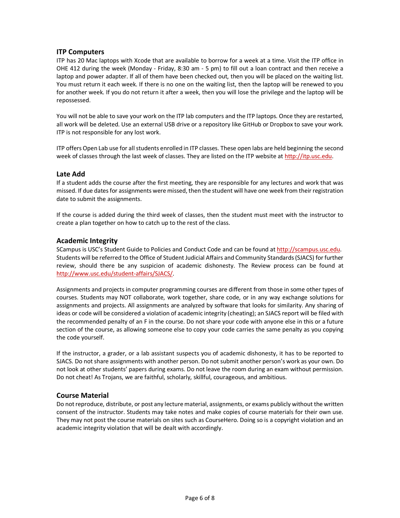## **ITP Computers**

ITP has 20 Mac laptops with Xcode that are available to borrow for a week at a time. Visit the ITP office in OHE 412 during the week (Monday - Friday, 8:30 am - 5 pm) to fill out a loan contract and then receive a laptop and power adapter. If all of them have been checked out, then you will be placed on the waiting list. You must return it each week. If there is no one on the waiting list, then the laptop will be renewed to you for another week. If you do not return it after a week, then you will lose the privilege and the laptop will be repossessed.

You will not be able to save your work on the ITP lab computers and the ITP laptops. Once they are restarted, all work will be deleted. Use an external USB drive or a repository like GitHub or Dropbox to save your work. ITP is not responsible for any lost work.

ITP offers Open Lab use for all students enrolled in ITP classes. These open labs are held beginning the second week of classes through the last week of classes. They are listed on the ITP website at http://itp.usc.edu.

## **Late Add**

If a student adds the course after the first meeting, they are responsible for any lectures and work that was missed. If due dates for assignments were missed, then the student will have one week from their registration date to submit the assignments.

If the course is added during the third week of classes, then the student must meet with the instructor to create a plan together on how to catch up to the rest of the class.

#### **Academic Integrity**

SCampus is USC's Student Guide to Policies and Conduct Code and can be found at http://scampus.usc.edu. Students will be referred to the Office of Student Judicial Affairs and Community Standards (SJACS) for further review, should there be any suspicion of academic dishonesty. The Review process can be found at http://www.usc.edu/student-affairs/SJACS/.

Assignments and projects in computer programming courses are different from those in some other types of courses. Students may NOT collaborate, work together, share code, or in any way exchange solutions for assignments and projects. All assignments are analyzed by software that looks for similarity. Any sharing of ideas or code will be considered a violation of academic integrity (cheating); an SJACS report will be filed with the recommended penalty of an F in the course. Do not share your code with anyone else in this or a future section of the course, as allowing someone else to copy your code carries the same penalty as you copying the code yourself.

If the instructor, a grader, or a lab assistant suspects you of academic dishonesty, it has to be reported to SJACS. Do not share assignments with another person. Do not submit another person's work as your own. Do not look at other students' papers during exams. Do not leave the room during an exam without permission. Do not cheat! As Trojans, we are faithful, scholarly, skillful, courageous, and ambitious.

## **Course Material**

Do not reproduce, distribute, or post any lecture material, assignments, or exams publicly without the written consent of the instructor. Students may take notes and make copies of course materials for their own use. They may not post the course materials on sites such as CourseHero. Doing so is a copyright violation and an academic integrity violation that will be dealt with accordingly.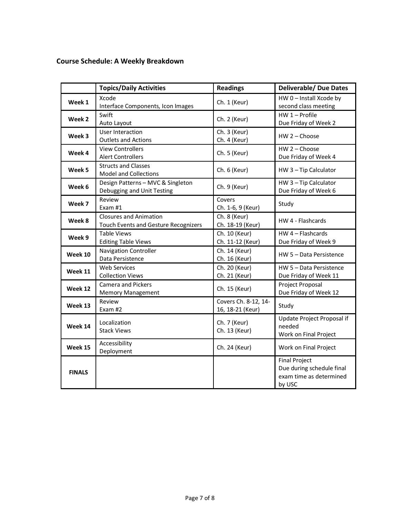## **Course Schedule: A Weekly Breakdown**

|               | <b>Topics/Daily Activities</b>                                               | <b>Readings</b>                          | <b>Deliverable/ Due Dates</b>                                                          |
|---------------|------------------------------------------------------------------------------|------------------------------------------|----------------------------------------------------------------------------------------|
| Week 1        | Xcode<br>Interface Components, Icon Images                                   | Ch. 1 (Keur)                             | HW 0 - Install Xcode by<br>second class meeting                                        |
| Week 2        | Swift<br>Auto Layout                                                         | Ch. 2 (Keur)                             | HW 1 - Profile<br>Due Friday of Week 2                                                 |
| Week 3        | User Interaction<br><b>Outlets and Actions</b>                               | Ch. 3 (Keur)<br>Ch. 4 (Keur)             | HW 2 - Choose                                                                          |
| Week 4        | <b>View Controllers</b><br><b>Alert Controllers</b>                          | Ch. 5 (Keur)                             | $HW 2 - Choose$<br>Due Friday of Week 4                                                |
| Week 5        | <b>Structs and Classes</b><br><b>Model and Collections</b>                   | Ch. 6 (Keur)                             | HW 3-Tip Calculator                                                                    |
| Week 6        | Design Patterns - MVC & Singleton<br>Debugging and Unit Testing              | Ch. 9 (Keur)                             | HW 3-Tip Calculator<br>Due Friday of Week 6                                            |
| Week 7        | Review<br>Exam #1                                                            | Covers<br>Ch. 1-6, 9 (Keur)              | Study                                                                                  |
| Week 8        | <b>Closures and Animation</b><br><b>Touch Events and Gesture Recognizers</b> | Ch. 8 (Keur)<br>Ch. 18-19 (Keur)         | HW 4 - Flashcards                                                                      |
| Week 9        | <b>Table Views</b><br><b>Editing Table Views</b>                             | Ch. 10 (Keur)<br>Ch. 11-12 (Keur)        | $HW 4 - Flashcards$<br>Due Friday of Week 9                                            |
| Week 10       | Navigation Controller<br>Data Persistence                                    | Ch. 14 (Keur)<br>Ch. 16 (Keur)           | HW 5 - Data Persistence                                                                |
| Week 11       | <b>Web Services</b><br><b>Collection Views</b>                               | Ch. 20 (Keur)<br>Ch. 21 (Keur)           | HW 5 - Data Persistence<br>Due Friday of Week 11                                       |
| Week 12       | <b>Camera and Pickers</b><br><b>Memory Management</b>                        | Ch. 15 (Keur)                            | Project Proposal<br>Due Friday of Week 12                                              |
| Week 13       | Review<br>Exam #2                                                            | Covers Ch. 8-12, 14-<br>16, 18-21 (Keur) | Study                                                                                  |
| Week 14       | Localization<br><b>Stack Views</b>                                           | Ch. 7 (Keur)<br>Ch. 13 (Keur)            | Update Project Proposal if<br>needed<br>Work on Final Project                          |
| Week 15       | Accessibility<br>Deployment                                                  | Ch. 24 (Keur)                            | Work on Final Project                                                                  |
| <b>FINALS</b> |                                                                              |                                          | <b>Final Project</b><br>Due during schedule final<br>exam time as determined<br>by USC |